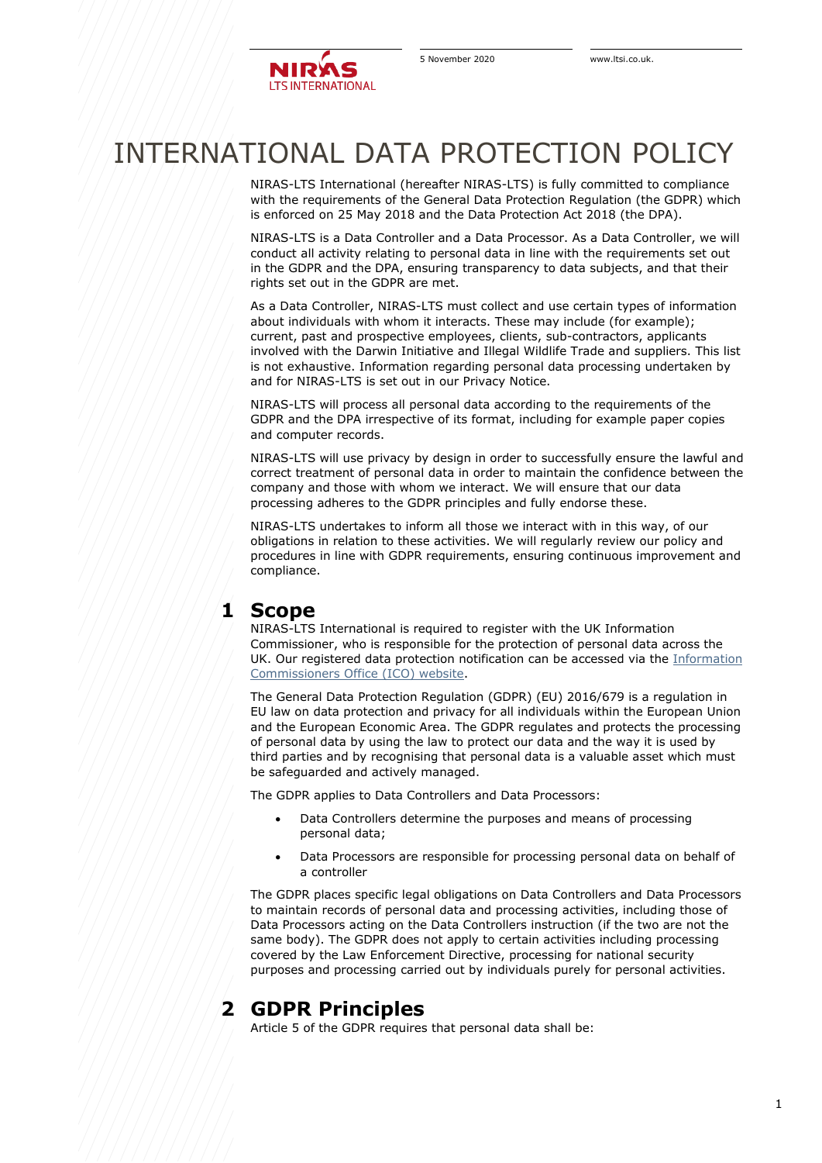

# INTERNATIONAL DATA PROTECTION POLICY

NIRAS-LTS International (hereafter NIRAS-LTS) is fully committed to compliance with the requirements of the General Data Protection Regulation (the GDPR) which is enforced on 25 May 2018 and the Data Protection Act 2018 (the DPA).

NIRAS-LTS is a Data Controller and a Data Processor. As a Data Controller, we will conduct all activity relating to personal data in line with the requirements set out in the GDPR and the DPA, ensuring transparency to data subjects, and that their rights set out in the GDPR are met.

As a Data Controller, NIRAS-LTS must collect and use certain types of information about individuals with whom it interacts. These may include (for example); current, past and prospective employees, clients, sub-contractors, applicants involved with the Darwin Initiative and Illegal Wildlife Trade and suppliers. This list is not exhaustive. Information regarding personal data processing undertaken by and for NIRAS-LTS is set out in our Privacy Notice.

NIRAS-LTS will process all personal data according to the requirements of the GDPR and the DPA irrespective of its format, including for example paper copies and computer records.

NIRAS-LTS will use privacy by design in order to successfully ensure the lawful and correct treatment of personal data in order to maintain the confidence between the company and those with whom we interact. We will ensure that our data processing adheres to the GDPR principles and fully endorse these.

NIRAS-LTS undertakes to inform all those we interact with in this way, of our obligations in relation to these activities. We will regularly review our policy and procedures in line with GDPR requirements, ensuring continuous improvement and compliance.

## **1 Scope**

NIRAS-LTS International is required to register with the UK Information Commissioner, who is responsible for the protection of personal data across the UK. Our registered data protection notification can be accessed via the [Information](https://ico.org.uk/esdwebpages/search)  [Commissioners Office \(ICO\) website.](https://ico.org.uk/esdwebpages/search)

The General Data Protection Regulation (GDPR) (EU) 2016/679 is a regulation in EU law on data protection and privacy for all individuals within the European Union and the European Economic Area. The GDPR regulates and protects the processing of personal data by using the law to protect our data and the way it is used by third parties and by recognising that personal data is a valuable asset which must be safeguarded and actively managed.

The GDPR applies to Data Controllers and Data Processors:

- Data Controllers determine the purposes and means of processing personal data;
- Data Processors are responsible for processing personal data on behalf of a controller

The GDPR places specific legal obligations on Data Controllers and Data Processors to maintain records of personal data and processing activities, including those of Data Processors acting on the Data Controllers instruction (if the two are not the same body). The GDPR does not apply to certain activities including processing covered by the Law Enforcement Directive, processing for national security purposes and processing carried out by individuals purely for personal activities.

## **2 GDPR Principles**

Article 5 of the GDPR requires that personal data shall be: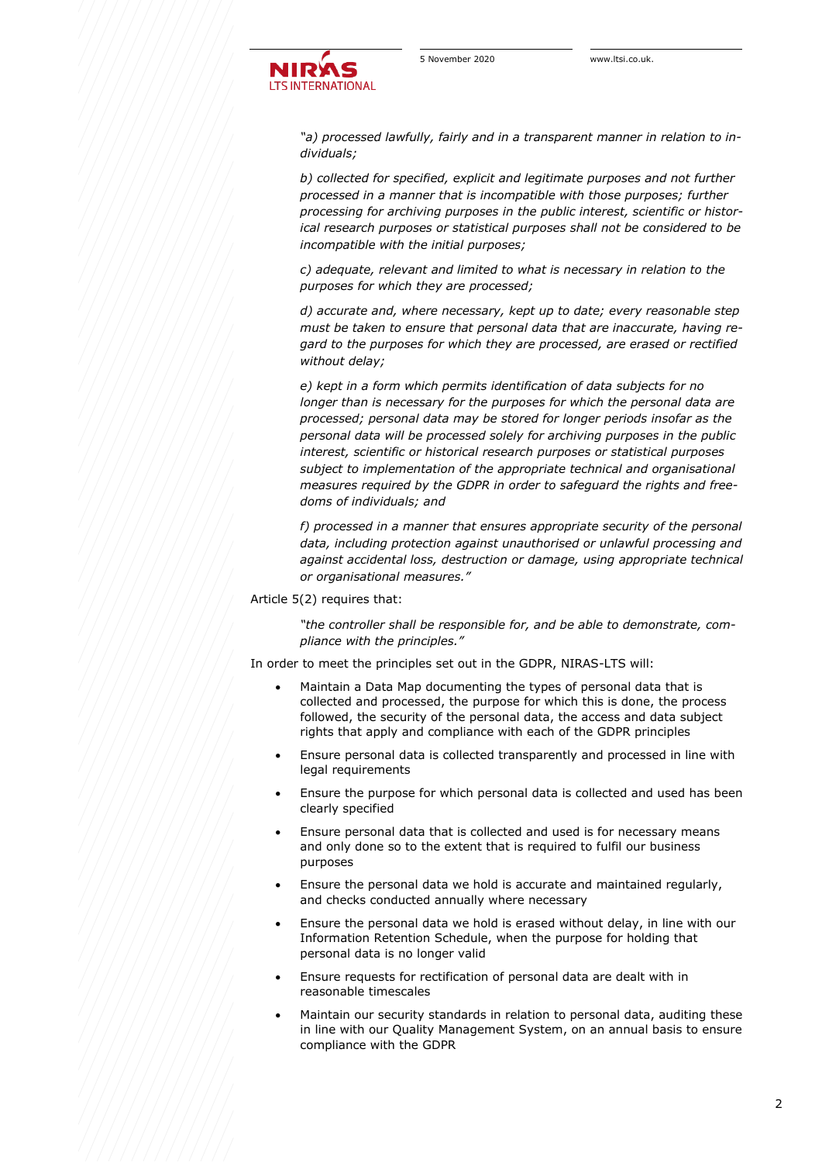*"a) processed lawfully, fairly and in a transparent manner in relation to individuals;*

*b) collected for specified, explicit and legitimate purposes and not further processed in a manner that is incompatible with those purposes; further processing for archiving purposes in the public interest, scientific or historical research purposes or statistical purposes shall not be considered to be incompatible with the initial purposes;*

*c) adequate, relevant and limited to what is necessary in relation to the purposes for which they are processed;*

*d) accurate and, where necessary, kept up to date; every reasonable step must be taken to ensure that personal data that are inaccurate, having regard to the purposes for which they are processed, are erased or rectified without delay;*

*e) kept in a form which permits identification of data subjects for no longer than is necessary for the purposes for which the personal data are processed; personal data may be stored for longer periods insofar as the personal data will be processed solely for archiving purposes in the public interest, scientific or historical research purposes or statistical purposes subject to implementation of the appropriate technical and organisational measures required by the GDPR in order to safeguard the rights and freedoms of individuals; and*

*f) processed in a manner that ensures appropriate security of the personal data, including protection against unauthorised or unlawful processing and against accidental loss, destruction or damage, using appropriate technical or organisational measures."*

#### Article 5(2) requires that:

*"the controller shall be responsible for, and be able to demonstrate, compliance with the principles."*

In order to meet the principles set out in the GDPR, NIRAS-LTS will:

- Maintain a Data Map documenting the types of personal data that is collected and processed, the purpose for which this is done, the process followed, the security of the personal data, the access and data subject rights that apply and compliance with each of the GDPR principles
- Ensure personal data is collected transparently and processed in line with legal requirements
- Ensure the purpose for which personal data is collected and used has been clearly specified
- Ensure personal data that is collected and used is for necessary means and only done so to the extent that is required to fulfil our business purposes
- Ensure the personal data we hold is accurate and maintained regularly, and checks conducted annually where necessary
- Ensure the personal data we hold is erased without delay, in line with our Information Retention Schedule, when the purpose for holding that personal data is no longer valid
- Ensure requests for rectification of personal data are dealt with in reasonable timescales
- Maintain our security standards in relation to personal data, auditing these in line with our Quality Management System, on an annual basis to ensure compliance with the GDPR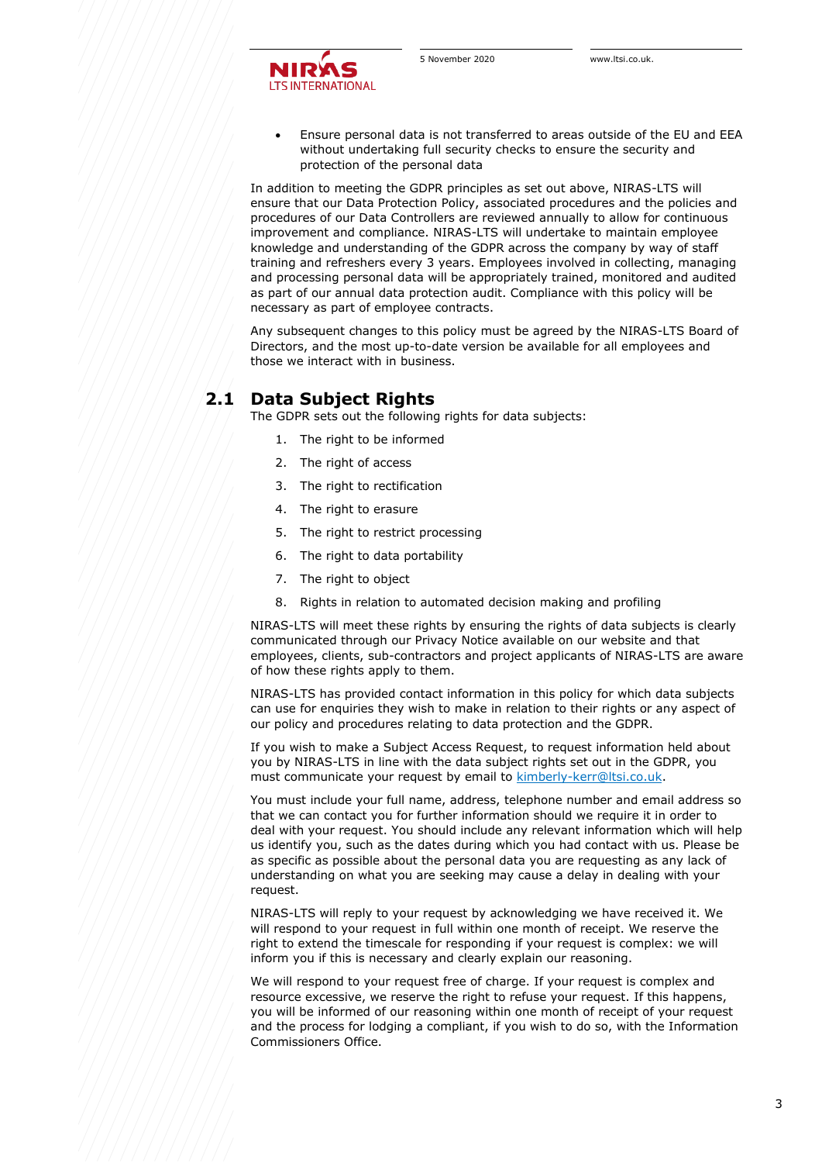

• Ensure personal data is not transferred to areas outside of the EU and EEA without undertaking full security checks to ensure the security and protection of the personal data

In addition to meeting the GDPR principles as set out above, NIRAS-LTS will ensure that our Data Protection Policy, associated procedures and the policies and procedures of our Data Controllers are reviewed annually to allow for continuous improvement and compliance. NIRAS-LTS will undertake to maintain employee knowledge and understanding of the GDPR across the company by way of staff training and refreshers every 3 years. Employees involved in collecting, managing and processing personal data will be appropriately trained, monitored and audited as part of our annual data protection audit. Compliance with this policy will be necessary as part of employee contracts.

Any subsequent changes to this policy must be agreed by the NIRAS-LTS Board of Directors, and the most up-to-date version be available for all employees and those we interact with in business.

### **2.1 Data Subject Rights**

The GDPR sets out the following rights for data subjects:

- 1. The right to be informed
- 2. The right of access
- 3. The right to rectification
- 4. The right to erasure
- 5. The right to restrict processing
- 6. The right to data portability
- 7. The right to object
- 8. Rights in relation to automated decision making and profiling

NIRAS-LTS will meet these rights by ensuring the rights of data subjects is clearly communicated through our Privacy Notice available on our website and that employees, clients, sub-contractors and project applicants of NIRAS-LTS are aware of how these rights apply to them.

NIRAS-LTS has provided contact information in this policy for which data subjects can use for enquiries they wish to make in relation to their rights or any aspect of our policy and procedures relating to data protection and the GDPR.

If you wish to make a Subject Access Request, to request information held about you by NIRAS-LTS in line with the data subject rights set out in the GDPR, you must communicate your request by email to [kimberly-kerr@ltsi.co.uk.](mailto:kimberly-kerr@ltsi.co.uk)

You must include your full name, address, telephone number and email address so that we can contact you for further information should we require it in order to deal with your request. You should include any relevant information which will help us identify you, such as the dates during which you had contact with us. Please be as specific as possible about the personal data you are requesting as any lack of understanding on what you are seeking may cause a delay in dealing with your request.

NIRAS-LTS will reply to your request by acknowledging we have received it. We will respond to your request in full within one month of receipt. We reserve the right to extend the timescale for responding if your request is complex: we will inform you if this is necessary and clearly explain our reasoning.

We will respond to your request free of charge. If your request is complex and resource excessive, we reserve the right to refuse your request. If this happens, you will be informed of our reasoning within one month of receipt of your request and the process for lodging a compliant, if you wish to do so, with the Information Commissioners Office.